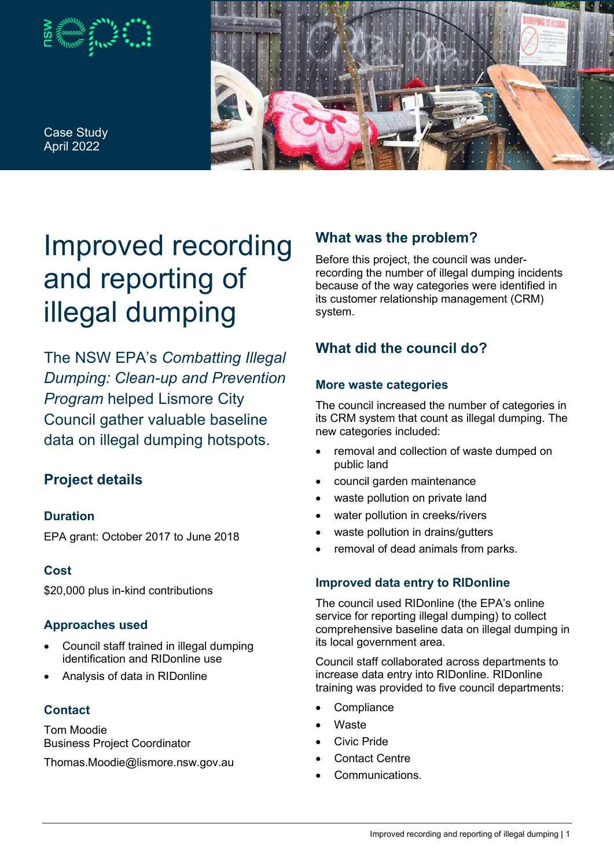

Case Study April 2022



# Improved recording and reporting of illegal dumping

The NSW EPA's *Combatting Illegal Dumping: Clean-up and Prevention Program* helped Lismore City Council gather valuable baseline data on illegal dumping hotspots.

# **Project details**

#### **Duration**

EPA grant: October 2017 to June 2018

#### **Cost**

\$20,000 plus in-kind contributions

#### **Approaches used**

- Council staff trained in illegal dumping identification and RIDonline use
- Analysis of data in RIDonline

#### **Contact**

Tom Moodie Business Project Coordinator

Thomas.Moodie@lismore.nsw.gov.au

# **What was the problem?**

Before this project, the council was underrecording the number of illegal dumping incidents because of the way categories were identified in its customer relationship management (CRM) system.

# **What did the council do?**

#### **More waste categories**

The council increased the number of categories in its CRM system that count as illegal dumping. The new categories included:

- removal and collection of waste dumped on public land
- council garden maintenance
- waste pollution on private land
- water pollution in creeks/rivers
- waste pollution in drains/gutters
- removal of dead animals from parks.

#### **Improved data entry to RIDonline**

The council used RIDonline (the EPA's online service for reporting illegal dumping) to collect comprehensive baseline data on illegal dumping in its local government area.

Council staff collaborated across departments to increase data entry into RIDonline. RIDonline training was provided to five council departments:

- **Compliance**
- **Waste**
- Civic Pride
- Contact Centre
- Communications.